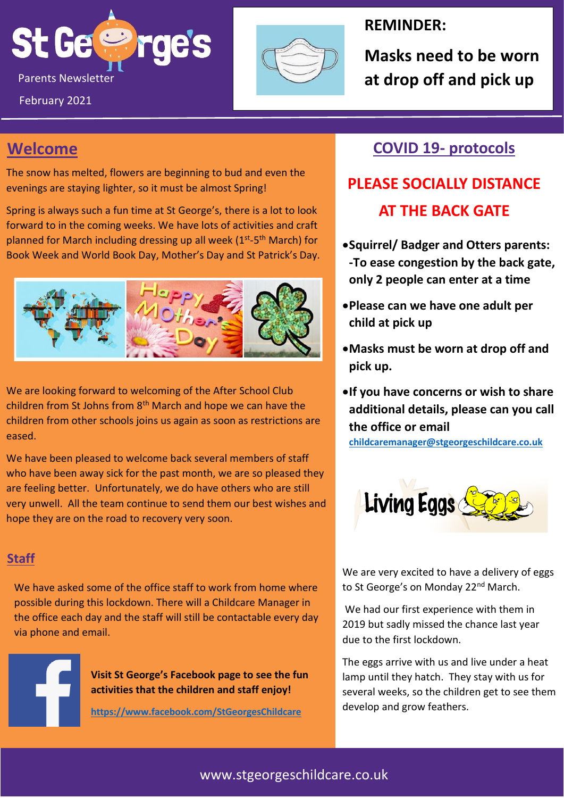



#### **REMINDER:**

**Masks need to be worn** 

## **Welcome**

The snow has melted, flowers are beginning to bud and even the evenings are staying lighter, so it must be almost Spring!

Spring is always such a fun time at St George's, there is a lot to look forward to in the coming weeks. We have lots of activities and craft planned for March including dressing up all week (1<sup>st</sup>-5<sup>th</sup> March) for Book Week and World Book Day, Mother's Day and St Patrick's Day.



We are looking forward to welcoming of the After School Club children from St Johns from 8<sup>th</sup> March and hope we can have the children from other schools joins us again as soon as restrictions are eased.

We have been pleased to welcome back several members of staff who have been away sick for the past month, we are so pleased they are feeling better. Unfortunately, we do have others who are still very unwell. All the team continue to send them our best wishes and hope they are on the road to recovery very soon.

#### **Staff**

We have asked some of the office staff to work from home where possible during this lockdown. There will a Childcare Manager in the office each day and the staff will still be contactable every day via phone and email.

**Visit St George's Facebook page to see the fun activities that the children and staff enjoy!**

**<https://www.facebook.com/StGeorgesChildcare>**

### **COVID 19- protocols**

# **PLEASE SOCIALLY DISTANCE AT THE BACK GATE**

- •**Squirrel/ Badger and Otters parents: -To ease congestion by the back gate, only 2 people can enter at a time**
- •**Please can we have one adult per child at pick up**
- •**Masks must be worn at drop off and pick up.**
- •**If you have concerns or wish to share additional details, please can you call the office or email**

**[childcaremanager@stgeorgeschildcare.co.uk](mailto:childcaremanager@stgeorgeschildcare.co.uk)**



We are very excited to have a delivery of eggs to St George's on Monday 22<sup>nd</sup> March.

We had our first experience with them in 2019 but sadly missed the chance last year due to the first lockdown.

The eggs arrive with us and live under a heat lamp until they hatch. They stay with us for several weeks, so the children get to see them develop and grow feathers.

#### www.stgeorgeschildcare.co.uk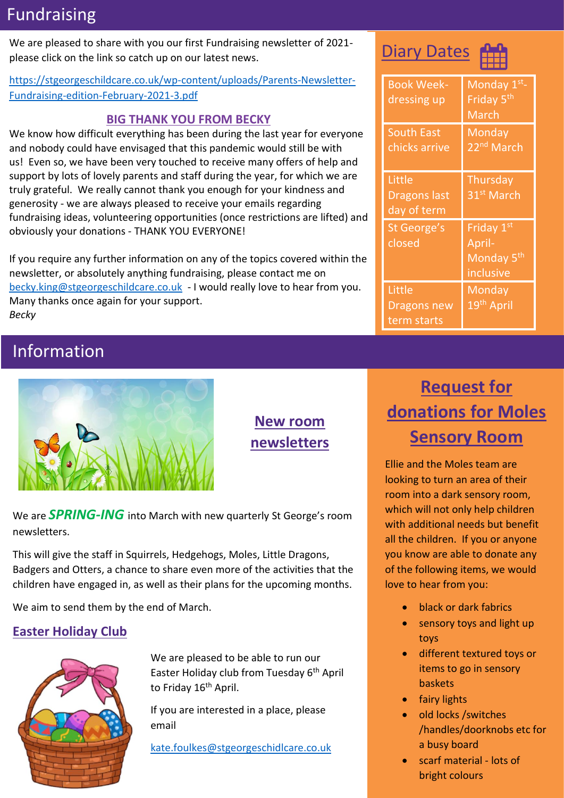## Fundraising

We are pleased to share with you our first Fundraising newsletter of 2021 please click on the link so catch up on our latest news.

#### [https://stgeorgeschildcare.co.uk/wp-content/uploads/Parents-Newsletter-](https://stgeorgeschildcare.co.uk/wp-content/uploads/Parents-Newsletter-Fundraising-edition-February-2021-3.pdf)[Fundraising-edition-February-2021-3.pdf](https://stgeorgeschildcare.co.uk/wp-content/uploads/Parents-Newsletter-Fundraising-edition-February-2021-3.pdf)

#### **BIG THANK YOU FROM BECKY**

We know how difficult everything has been during the last year for everyone and nobody could have envisaged that this pandemic would still be with us! Even so, we have been very touched to receive many offers of help and support by lots of lovely parents and staff during the year, for which we are truly grateful. We really cannot thank you enough for your kindness and generosity - we are always pleased to receive your emails regarding fundraising ideas, volunteering opportunities (once restrictions are lifted) and obviously your donations - THANK YOU EVERYONE!

If you require any further information on any of the topics covered within the newsletter, or absolutely anything fundraising, please contact me on [becky.king@stgeorgeschildcare.co.uk](mailto:becky.king@stgeorgeschildcare.co.uk) - I would really love to hear from you. Many thanks once again for your support. *Becky*

## Information



**New room newsletters**

We are *SPRING-ING* into March with new quarterly St George's room newsletters.

This will give the staff in Squirrels, Hedgehogs, Moles, Little Dragons, Badgers and Otters, a chance to share even more of the activities that the children have engaged in, as well as their plans for the upcoming months.

We aim to send them by the end of March.

#### **Easter Holiday Club**



We are pleased to be able to run our Easter Holiday club from Tuesday 6<sup>th</sup> April to Friday 16<sup>th</sup> April.

If you are interested in a place, please email

[kate.foulkes@stgeorgeschidlcare.co.uk](mailto:kate.foulkes@stgeorgeschidlcare.co.uk)

## Diary Dates



| <b>Book Week-</b><br>dressing up             | Monday 1st-<br>Friday 5 <sup>th</sup><br>March                          |
|----------------------------------------------|-------------------------------------------------------------------------|
| <b>South East</b><br>chicks arrive           | Monday<br>22 <sup>nd</sup> March                                        |
| Little<br><b>Dragons last</b><br>day of term | Thursday<br>31 <sup>st</sup> March                                      |
| <b>St George's</b><br>closed                 | Friday 1 <sup>st</sup><br>April-<br>Monday 5 <sup>th</sup><br>inclusive |
| Little<br>Dragons new<br>term starts         | <b>Monday</b><br>19 <sup>th</sup> April                                 |

# **Request for donations for Moles Sensory Room**

Ellie and the Moles team are looking to turn an area of their room into a dark sensory room, which will not only help children with additional needs but benefit all the children. If you or anyone you know are able to donate any of the following items, we would love to hear from you:

- black or dark fabrics
- sensory toys and light up toys
- different textured toys or items to go in sensory baskets
- fairy lights
- old locks /switches /handles/doorknobs etc for a busy board
- scarf material lots of bright colours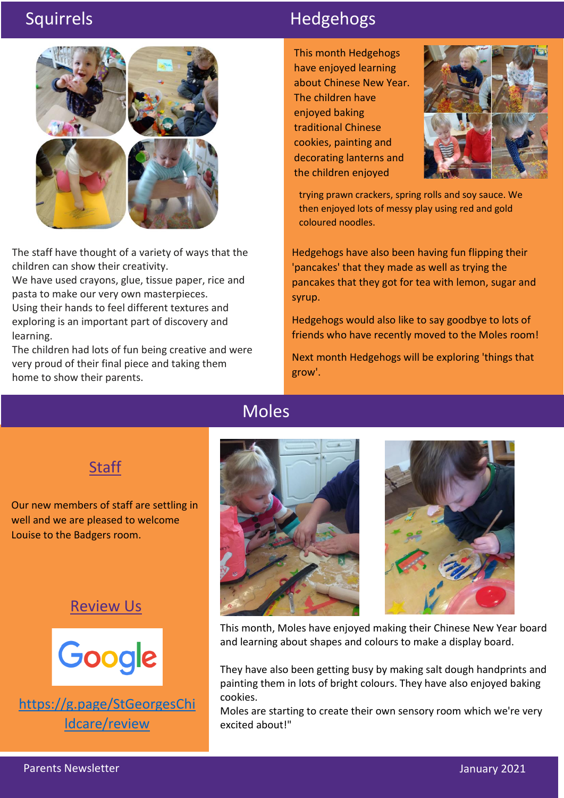

The staff have thought of a variety of ways that the children can show their creativity.

We have used crayons, glue, tissue paper, rice and pasta to make our very own masterpieces. Using their hands to feel different textures and exploring is an important part of discovery and learning.

The children had lots of fun being creative and were very proud of their final piece and taking them home to show their parents.

## Squirrels **Hedgehogs**

This month Hedgehogs have enjoyed learning about Chinese New Year. The children have enjoyed baking traditional Chinese cookies, painting and decorating lanterns and the children enjoyed



trying prawn crackers, spring rolls and soy sauce. We then enjoyed lots of messy play using red and gold coloured noodles.

 pancakes that they got for tea with lemon, sugar and Hedgehogs have also been having fun flipping their 'pancakes' that they made as well as trying the syrup.

Hedgehogs would also like to say goodbye to lots of friends who have recently moved to the Moles room!

Next month Hedgehogs will be exploring 'things that grow'.

### Moles

## **Staff**

Our new members of staff are settling in well and we are pleased to welcome Louise to the Badgers room.

#### Review Us



[https://g.page/StGeorgesChi](https://g.page/StGeorgesChildcare/review) [ldcare/review](https://g.page/StGeorgesChildcare/review)





This month, Moles have enjoyed making their Chinese New Year board and learning about shapes and colours to make a display board.

They have also been getting busy by making salt dough handprints and painting them in lots of bright colours. They have also enjoyed baking cookies.

Moles are starting to create their own sensory room which we're very excited about!"